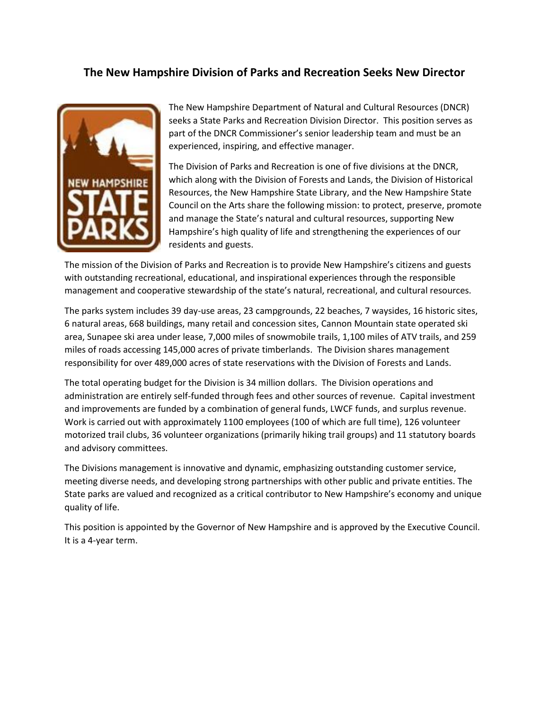### **The New Hampshire Division of Parks and Recreation Seeks New Director**



The New Hampshire Department of Natural and Cultural Resources (DNCR) seeks a State Parks and Recreation Division Director. This position serves as part of the DNCR Commissioner's senior leadership team and must be an experienced, inspiring, and effective manager.

The Division of Parks and Recreation is one of five divisions at the DNCR, which along with the Division of Forests and Lands, the Division of Historical Resources, the New Hampshire State Library, and the New Hampshire State Council on the Arts share the following mission: to protect, preserve, promote and manage the State's natural and cultural resources, supporting New Hampshire's high quality of life and strengthening the experiences of our residents and guests.

The mission of the Division of Parks and Recreation is to provide New Hampshire's citizens and guests with outstanding recreational, educational, and inspirational experiences through the responsible management and cooperative stewardship of the state's natural, recreational, and cultural resources.

The parks system includes 39 day-use areas, 23 campgrounds, 22 beaches, 7 waysides, 16 historic sites, 6 natural areas, 668 buildings, many retail and concession sites, Cannon Mountain state operated ski area, Sunapee ski area under lease, 7,000 miles of snowmobile trails, 1,100 miles of ATV trails, and 259 miles of roads accessing 145,000 acres of private timberlands. The Division shares management responsibility for over 489,000 acres of state reservations with the Division of Forests and Lands.

The total operating budget for the Division is 34 million dollars. The Division operations and administration are entirely self-funded through fees and other sources of revenue. Capital investment and improvements are funded by a combination of general funds, LWCF funds, and surplus revenue. Work is carried out with approximately 1100 employees (100 of which are full time), 126 volunteer motorized trail clubs, 36 volunteer organizations (primarily hiking trail groups) and 11 statutory boards and advisory committees.

The Divisions management is innovative and dynamic, emphasizing outstanding customer service, meeting diverse needs, and developing strong partnerships with other public and private entities. The State parks are valued and recognized as a critical contributor to New Hampshire's economy and unique quality of life.

This position is appointed by the Governor of New Hampshire and is approved by the Executive Council. It is a 4-year term.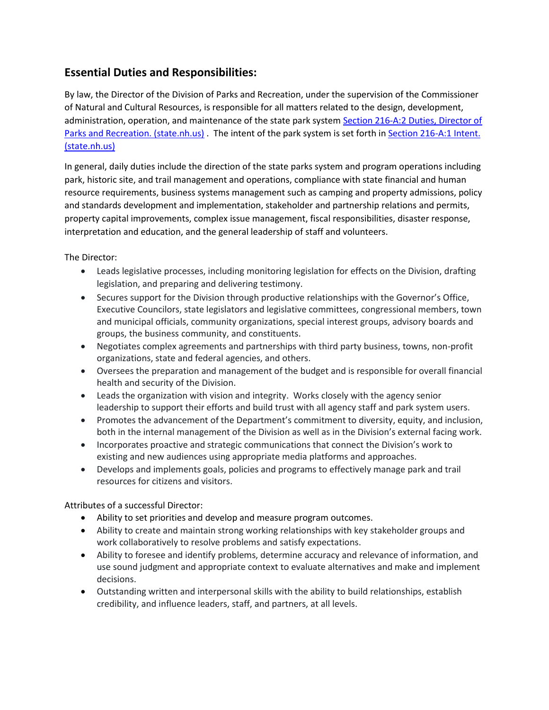# **Essential Duties and Responsibilities:**

By law, the Director of the Division of Parks and Recreation, under the supervision of the Commissioner of Natural and Cultural Resources, is responsible for all matters related to the design, development, administration, operation, and maintenance of the state park system [Section 216-A:2 Duties, Director of](http://www.gencourt.state.nh.us/rsa/html/XIX/216-A/216-A-2.htm)  [Parks and Recreation. \(state.nh.us\)](http://www.gencourt.state.nh.us/rsa/html/XIX/216-A/216-A-2.htm). The intent of the park system is set forth in Section 216-A:1 Intent. [\(state.nh.us\)](http://www.gencourt.state.nh.us/rsa/html/XIX/216-A/216-A-1.htm)

In general, daily duties include the direction of the state parks system and program operations including park, historic site, and trail management and operations, compliance with state financial and human resource requirements, business systems management such as camping and property admissions, policy and standards development and implementation, stakeholder and partnership relations and permits, property capital improvements, complex issue management, fiscal responsibilities, disaster response, interpretation and education, and the general leadership of staff and volunteers.

The Director:

- Leads legislative processes, including monitoring legislation for effects on the Division, drafting legislation, and preparing and delivering testimony.
- Secures support for the Division through productive relationships with the Governor's Office, Executive Councilors, state legislators and legislative committees, congressional members, town and municipal officials, community organizations, special interest groups, advisory boards and groups, the business community, and constituents.
- Negotiates complex agreements and partnerships with third party business, towns, non-profit organizations, state and federal agencies, and others.
- Oversees the preparation and management of the budget and is responsible for overall financial health and security of the Division.
- Leads the organization with vision and integrity. Works closely with the agency senior leadership to support their efforts and build trust with all agency staff and park system users.
- Promotes the advancement of the Department's commitment to diversity, equity, and inclusion, both in the internal management of the Division as well as in the Division's external facing work.
- Incorporates proactive and strategic communications that connect the Division's work to existing and new audiences using appropriate media platforms and approaches.
- Develops and implements goals, policies and programs to effectively manage park and trail resources for citizens and visitors.

Attributes of a successful Director:

- Ability to set priorities and develop and measure program outcomes.
- Ability to create and maintain strong working relationships with key stakeholder groups and work collaboratively to resolve problems and satisfy expectations.
- Ability to foresee and identify problems, determine accuracy and relevance of information, and use sound judgment and appropriate context to evaluate alternatives and make and implement decisions.
- Outstanding written and interpersonal skills with the ability to build relationships, establish credibility, and influence leaders, staff, and partners, at all levels.